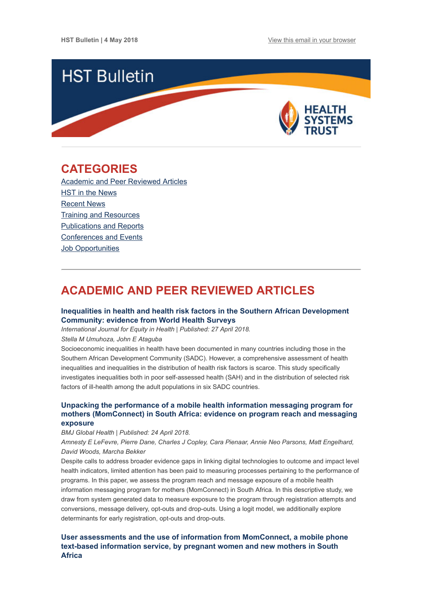

## <span id="page-0-1"></span>**CATEGORIES**

[Academic and Peer Reviewed Articles](#page-0-0) HST in the News [Recent News](#page-2-0) [Training and Resources](#page-2-1) [Publications and Reports](#page-3-0) [Conferences and Events](#page-3-1) Job Opportunities

# <span id="page-0-0"></span>**ACADEMIC AND PEER REVIEWED ARTICLES**

## **[Inequalities in health and health risk factors in the Southern African Development](https://equityhealthj.biomedcentral.com/articles/10.1186/s12939-018-0762-8) Community: evidence from World Health Surveys**

*International Journal for Equity in Health | Published: 27 April 2018.*

*Stella M Umuhoza, John E Ataguba*

Socioeconomic inequalities in health have been documented in many countries including those in the Southern African Development Community (SADC). However, a comprehensive assessment of health inequalities and inequalities in the distribution of health risk factors is scarce. This study specifically investigates inequalities both in poor self-assessed health (SAH) and in the distribution of selected risk factors of ill-health among the adult populations in six SADC countries.

## **Unpacking the performance of a mobile health information messaging program for [mothers \(MomConnect\) in South Africa: evidence on program reach and messaging](http://gh.bmj.com/content/3/Suppl_2/e000583) exposure**

*BMJ Global Health | Published: 24 April 2018.* 

*Amnesty E LeFevre, Pierre Dane, Charles J Copley, Cara Pienaar, Annie Neo Parsons, Matt Engelhard, David Woods, Marcha Bekker*

Despite calls to address broader evidence gaps in linking digital technologies to outcome and impact level health indicators, limited attention has been paid to measuring processes pertaining to the performance of programs. In this paper, we assess the program reach and message exposure of a mobile health information messaging program for mothers (MomConnect) in South Africa. In this descriptive study, we draw from system generated data to measure exposure to the program through registration attempts and conversions, message delivery, opt-outs and drop-outs. Using a logit model, we additionally explore determinants for early registration, opt-outs and drop-outs.

## **[User assessments and the use of information from MomConnect, a mobile phone](http://gh.bmj.com/content/3/Suppl_2/e000561) text-based information service, by pregnant women and new mothers in South Africa**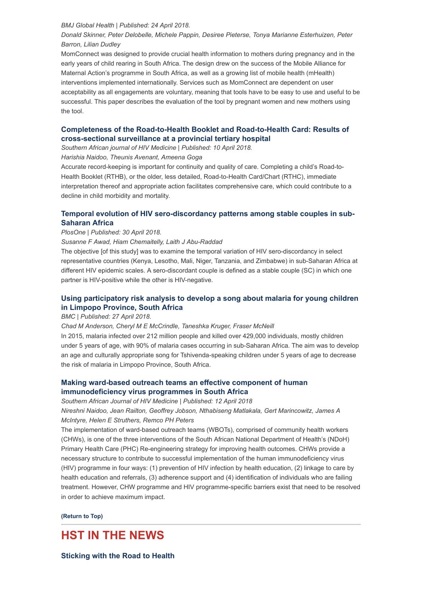#### *BMJ Global Health | Published: 24 April 2018.*

*Donald Skinner, Peter Delobelle, Michele Pappin, Desiree Pieterse, Tonya Marianne Esterhuizen, Peter Barron, Lilian Dudley*

MomConnect was designed to provide crucial health information to mothers during pregnancy and in the early years of child rearing in South Africa. The design drew on the success of the Mobile Alliance for Maternal Action's programme in South Africa, as well as a growing list of mobile health (mHealth) interventions implemented internationally. Services such as MomConnect are dependent on user acceptability as all engagements are voluntary, meaning that tools have to be easy to use and useful to be successful. This paper describes the evaluation of the tool by pregnant women and new mothers using the tool.

## **[Completeness of the Road-to-Health Booklet and Road-to-Health Card: Results of](https://sajhivmed.org.za/index.php/hivmed/article/view/765/1134) cross-sectional surveillance at a provincial tertiary hospital**

*Southern African journal of HIV Medicine | Published: 10 April 2018.*

*Harishia Naidoo, Theunis Avenant, Ameena Goga*

Accurate record-keeping is important for continuity and quality of care. Completing a child's Road-to-Health Booklet (RTHB), or the older, less detailed, Road-to-Health Card/Chart (RTHC), immediate interpretation thereof and appropriate action facilitates comprehensive care, which could contribute to a decline in child morbidity and mortality.

## **[Temporal evolution of HIV sero-discordancy patterns among stable couples in sub-](http://journals.plos.org/plosone/article?id=10.1371/journal.pone.0196613)Saharan Africa**

#### *PlosOne | Published: 30 April 2018.*

#### *Susanne F Awad, Hiam Chemaitelly, Laith J Abu-Raddad*

The objective [of this study] was to examine the temporal variation of HIV sero-discordancy in select representative countries (Kenya, Lesotho, Mali, Niger, Tanzania, and Zimbabwe) in sub-Saharan Africa at different HIV epidemic scales. A sero-discordant couple is defined as a stable couple (SC) in which one partner is HIV-positive while the other is HIV-negative.

## **[Using participatory risk analysis to develop a song about malaria for young children](https://malariajournal.biomedcentral.com/articles/10.1186/s12936-018-2320-7) in Limpopo Province, South Africa**

### *BMC | Published: 27 April 2018.*

*Chad M Anderson, Cheryl M E McCrindle, Taneshka Kruger, Fraser McNeill*

In 2015, malaria infected over 212 million people and killed over 429,000 individuals, mostly children under 5 years of age, with 90% of malaria cases occurring in sub-Saharan Africa. The aim was to develop an age and culturally appropriate song for Tshivenda-speaking children under 5 years of age to decrease the risk of malaria in Limpopo Province, South Africa.

## **[Making ward-based outreach teams an effective component of human](https://sajhivmed.org.za/index.php/hivmed/article/view/778/1145) immunodeficiency virus programmes in South Africa**

*Southern African Journal of HIV Medicine | Published: 12 April 2018*

*Nireshni Naidoo, Jean Railton, Geoffrey Jobson, Nthabiseng Matlakala, Gert Marincowitz, James A McIntyre, Helen E Struthers, Remco PH Peters*

The implementation of ward-based outreach teams (WBOTs), comprised of community health workers (CHWs), is one of the three interventions of the South African National Department of Health's (NDoH) Primary Health Care (PHC) Re-engineering strategy for improving health outcomes. CHWs provide a necessary structure to contribute to successful implementation of the human immunodeficiency virus (HIV) programme in four ways: (1) prevention of HIV infection by health education, (2) linkage to care by health education and referrals, (3) adherence support and (4) identification of individuals who are failing treatment. However, CHW programme and HIV programme-specific barriers exist that need to be resolved in order to achieve maximum impact.

**[\(Return to Top\)](#page-0-1)**

## **HST IN THE NEWS**

**[Sticking with the Road to Health](https://www.dailysun.co.za/Success/Health/sticking-with-the-road-to-health-20180419)**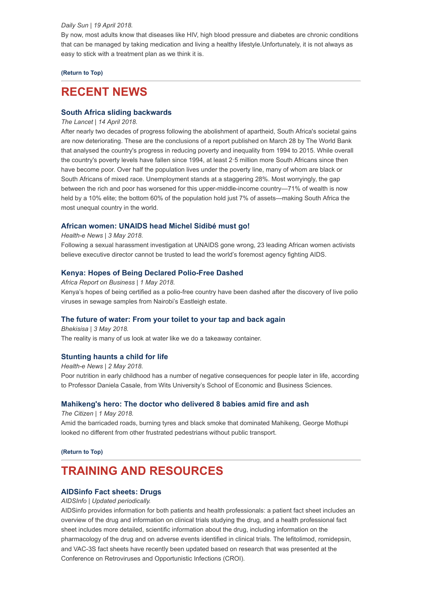#### *Daily Sun | 19 April 2018.*

By now, most adults know that diseases like HIV, high blood pressure and diabetes are chronic conditions that can be managed by taking medication and living a healthy lifestyle.Unfortunately, it is not always as easy to stick with a treatment plan as we think it is.

## **[\(Return to Top\)](#page-0-1)**

## <span id="page-2-0"></span>**RECENT NEWS**

## **[South Africa sliding backwards](http://www.thelancet.com/journals/lancet/article/PIIS0140-6736(18)30839-0/fulltext)**

## *The Lancet | 14 April 2018.*

After nearly two decades of progress following the abolishment of apartheid, South Africa's societal gains are now deteriorating. These are the conclusions of a report published on March 28 by The World Bank that analysed the country's progress in reducing poverty and inequality from 1994 to 2015. While overall the country's poverty levels have fallen since 1994, at least 2·5 million more South Africans since then have become poor. Over half the population lives under the poverty line, many of whom are black or South Africans of mixed race. Unemployment stands at a staggering 28%. Most worryingly, the gap between the rich and poor has worsened for this upper-middle-income country—71% of wealth is now held by a 10% elite; the bottom 60% of the population hold just 7% of assets—making South Africa the most unequal country in the world.

## **[African women: UNAIDS head Michel Sidibé must go!](https://www.health-e.org.za/2018/05/03/african-women-unaids-head-michel-sidibe-must-go/)**

#### *Health-e News | 3 May 2018.*

Following a sexual harassment investigation at UNAIDS gone wrong, 23 leading African women activists believe executive director cannot be trusted to lead the world's foremost agency fighting AIDS.

## **[Kenya: Hopes of Being Declared Polio-Free Dashed](https://africareportonbusiness.com/2018/05/01/kenya-hopes-of-being-declared-polio-free-dashed-2/?utm_source=Global+Health+NOW+Main+List&utm_campaign=b28060a44c-EMAIL_CAMPAIGN_2018_05_01&utm_medium=email&utm_term=0_8d0d062dbd-b28060a44c-2811001)**

*Africa Report on Business | 1 May 2018.* Kenya's hopes of being certified as a polio-free country have been dashed after the discovery of live polio viruses in sewage samples from Nairobi's Eastleigh estate.

### **[The future of water: From your toilet to your tap and back again](http://bhekisisa.org/article/2018-05-03-00-toilet-to-tap-and-back-again-1)**

*Bhekisisa | 3 May 2018.* The reality is many of us look at water like we do a takeaway container.

### **[Stunting haunts a child for life](https://www.health-e.org.za/2018/05/02/stunting-haunts-a-child-for-life/)**

*Health-e News | 2 May 2018.* Poor nutrition in early childhood has a number of negative consequences for people later in life, according to Professor Daniela Casale, from Wits University's School of Economic and Business Sciences.

## **[Mahikeng's hero: The doctor who delivered 8 babies amid fire and ash](https://city-press.news24.com/News/mahikengs-hero-the-doctor-who-delivered-8-babies-amid-fire-and-ash-20180501)**

*The Citizen | 1 May 2018.* Amid the barricaded roads, burning tyres and black smoke that dominated Mahikeng, George Mothupi looked no different from other frustrated pedestrians without public transport.

**[\(Return to Top\)](#page-0-1)**

## <span id="page-2-1"></span>**TRAINING AND RESOURCES**

## **[AIDSinfo Fact sheets: Drugs](https://aidsinfo.nih.gov/drugs/)**

### *AIDSInfo | Updated periodically.*

AIDSinfo provides information for both patients and health professionals: a patient fact sheet includes an overview of the drug and information on clinical trials studying the drug, and a health professional fact sheet includes more detailed, scientific information about the drug, including information on the pharmacology of the drug and on adverse events identified in clinical trials. The lefitolimod, romidepsin, and VAC-3S fact sheets have recently been updated based on research that was presented at the Conference on Retroviruses and Opportunistic Infections (CROI).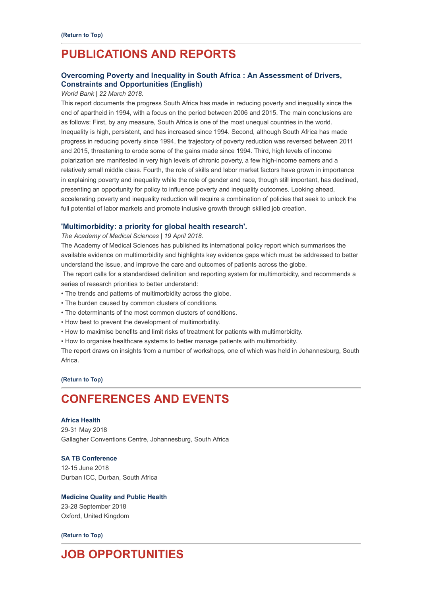# <span id="page-3-0"></span>**PUBLICATIONS AND REPORTS**

## **[Overcoming Poverty and Inequality in South Africa : An Assessment of Drivers,](http://documents.worldbank.org/curated/en/530481521735906534/pdf/124521-REV-OUO-South-Africa-Poverty-and-Inequality-Assessment-Report-2018-FINAL-WEB.pdf) Constraints and Opportunities (English)**

#### *World Bank | 22 March 2018.*

This report documents the progress South Africa has made in reducing poverty and inequality since the end of apartheid in 1994, with a focus on the period between 2006 and 2015. The main conclusions are as follows: First, by any measure, South Africa is one of the most unequal countries in the world. Inequality is high, persistent, and has increased since 1994. Second, although South Africa has made progress in reducing poverty since 1994, the trajectory of poverty reduction was reversed between 2011 and 2015, threatening to erode some of the gains made since 1994. Third, high levels of income polarization are manifested in very high levels of chronic poverty, a few high-income earners and a relatively small middle class. Fourth, the role of skills and labor market factors have grown in importance in explaining poverty and inequality while the role of gender and race, though still important, has declined, presenting an opportunity for policy to influence poverty and inequality outcomes. Looking ahead, accelerating poverty and inequality reduction will require a combination of policies that seek to unlock the full potential of labor markets and promote inclusive growth through skilled job creation.

### **['Multimorbidity: a priority for global health research'.](https://acmedsci.ac.uk/file-download/82222577?utm_medium=email&utm_campaign=Multimorbidity%20a%20priority%20for%20global%20health%20research%20report%20launch&utm_content=Multimorbidity%20a%20priority%20for%20global%20health%20research%20report%20launch+CID_06563ed5e200120d7b4909bdf3cbe557&utm_source=Email%20marketing&utm_term=Click%20here)**

#### *The Academy of Medical Sciences | 19 April 2018.*

The Academy of Medical Sciences has published its international policy report which summarises the available evidence on multimorbidity and highlights key evidence gaps which must be addressed to better understand the issue, and improve the care and outcomes of patients across the globe.

The report calls for a standardised definition and reporting system for multimorbidity, and recommends a series of research priorities to better understand:

- The trends and patterns of multimorbidity across the globe.
- The burden caused by common clusters of conditions.
- The determinants of the most common clusters of conditions.
- How best to prevent the development of multimorbidity.
- How to maximise benefits and limit risks of treatment for patients with multimorbidity.
- How to organise healthcare systems to better manage patients with multimorbidity.

The report draws on insights from a number of workshops, one of which was held in Johannesburg, South Africa.

### **[\(Return to Top\)](#page-0-1)**

# <span id="page-3-1"></span>**CONFERENCES AND EVENTS**

### **[Africa Health](https://www.africahealthexhibition.com/en/home.html)**

29-31 May 2018 Gallagher Conventions Centre, Johannesburg, South Africa

## **[SA TB Conference](http://www.tbconference.co.za/)** 12-15 June 2018 Durban ICC, Durban, South Africa

## **[Medicine Quality and Public Health](http://www.tropicalmedicine.ox.ac.uk/medicinequality2018/)**

23-28 September 2018 Oxford, United Kingdom

#### **[\(Return to Top\)](#page-0-1)**

# **JOB OPPORTUNITIES**